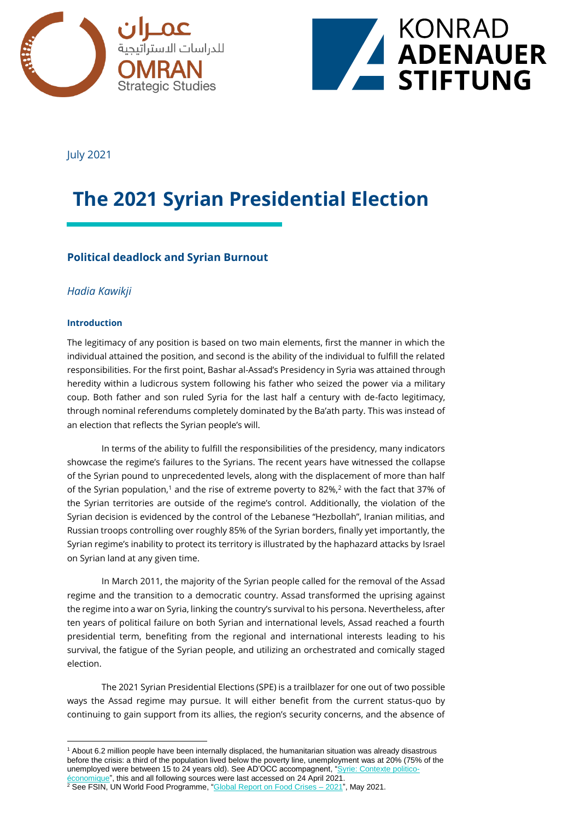



July 2021

# **The 2021 Syrian Presidential Election**

## **Political deadlock and Syrian Burnout**

## *Hadia Kawikji*

### **Introduction**

The legitimacy of any position is based on two main elements, first the manner in which the individual attained the position, and second is the ability of the individual to fulfill the related responsibilities. For the first point, Bashar al-Assad's Presidency in Syria was attained through heredity within a ludicrous system following his father who seized the power via a military coup. Both father and son ruled Syria for the last half a century with de-facto legitimacy, through nominal referendums completely dominated by the Ba'ath party. This was instead of an election that reflects the Syrian people's will.

In terms of the ability to fulfill the responsibilities of the presidency, many indicators showcase the regime's failures to the Syrians. The recent years have witnessed the collapse of the Syrian pound to unprecedented levels, along with the displacement of more than half of the Syrian population,<sup>1</sup> and the rise of extreme poverty to 82%,<sup>2</sup> with the fact that 37% of the Syrian territories are outside of the regime's control. Additionally, the violation of the Syrian decision is evidenced by the control of the Lebanese "Hezbollah", Iranian militias, and Russian troops controlling over roughly 85% of the Syrian borders, finally yet importantly, the Syrian regime's inability to protect its territory is illustrated by the haphazard attacks by Israel on Syrian land at any given time.

In March 2011, the majority of the Syrian people called for the removal of the Assad regime and the transition to a democratic country. Assad transformed the uprising against the regime into a war on Syria, linking the country's survival to his persona. Nevertheless, after ten years of political failure on both Syrian and international levels, Assad reached a fourth presidential term, benefiting from the regional and international interests leading to his survival, the fatigue of the Syrian people, and utilizing an orchestrated and comically staged election.

The 2021 Syrian Presidential Elections (SPE) is a trailblazer for one out of two possible ways the Assad regime may pursue. It will either benefit from the current status-quo by continuing to gain support from its allies, the region's security concerns, and the absence of

<sup>1</sup> About 6.2 million people have been internally displaced, the humanitarian situation was already disastrous before the crisis: a third of the population lived below the poverty line, unemployment was at 20% (75% of the unemployed were between 15 to 24 years old). See AD'OCC accompagnent, ["Syrie: Contexte politico](https://export.agence-adocc.com/fr/fiches-pays/syrie/contexte-politique)[économique"](https://export.agence-adocc.com/fr/fiches-pays/syrie/contexte-politique), this and all following sources were last accessed on 24 April 2021.  $2$  See FSIN, UN World Food Programme, " $G$ lobal Report on Food Crises  $-2021$ ", May 2021.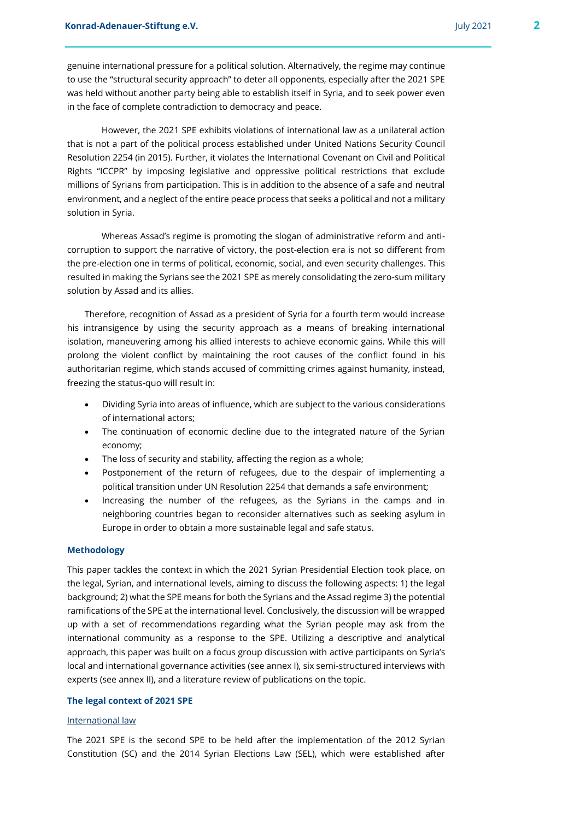genuine international pressure for a political solution. Alternatively, the regime may continue to use the "structural security approach" to deter all opponents, especially after the 2021 SPE was held without another party being able to establish itself in Syria, and to seek power even in the face of complete contradiction to democracy and peace.

However, the 2021 SPE exhibits violations of international law as a unilateral action that is not a part of the political process established under United Nations Security Council Resolution 2254 (in 2015). Further, it violates the International Covenant on Civil and Political Rights "ICCPR" by imposing legislative and oppressive political restrictions that exclude millions of Syrians from participation. This is in addition to the absence of a safe and neutral environment, and a neglect of the entire peace process that seeks a political and not a military solution in Syria.

Whereas Assad's regime is promoting the slogan of administrative reform and anticorruption to support the narrative of victory, the post-election era is not so different from the pre-election one in terms of political, economic, social, and even security challenges. This resulted in making the Syrians see the 2021 SPE as merely consolidating the zero-sum military solution by Assad and its allies.

Therefore, recognition of Assad as a president of Syria for a fourth term would increase his intransigence by using the security approach as a means of breaking international isolation, maneuvering among his allied interests to achieve economic gains. While this will prolong the violent conflict by maintaining the root causes of the conflict found in his authoritarian regime, which stands accused of committing crimes against humanity, instead, freezing the status-quo will result in:

- Dividing Syria into areas of influence, which are subject to the various considerations of international actors;
- The continuation of economic decline due to the integrated nature of the Syrian economy;
- The loss of security and stability, affecting the region as a whole;
- Postponement of the return of refugees, due to the despair of implementing a political transition under UN Resolution 2254 that demands a safe environment;
- Increasing the number of the refugees, as the Syrians in the camps and in neighboring countries began to reconsider alternatives such as seeking asylum in Europe in order to obtain a more sustainable legal and safe status.

#### **Methodology**

This paper tackles the context in which the 2021 Syrian Presidential Election took place, on the legal, Syrian, and international levels, aiming to discuss the following aspects: 1) the legal background; 2) what the SPE means for both the Syrians and the Assad regime 3) the potential ramifications of the SPE at the international level. Conclusively, the discussion will be wrapped up with a set of recommendations regarding what the Syrian people may ask from the international community as a response to the SPE. Utilizing a descriptive and analytical approach, this paper was built on a focus group discussion with active participants on Syria's local and international governance activities (see annex I), six semi-structured interviews with experts (see annex II), and a literature review of publications on the topic.

#### **The legal context of 2021 SPE**

#### International law

The 2021 SPE is the second SPE to be held after the implementation of the 2012 Syrian Constitution (SC) and the 2014 Syrian Elections Law (SEL), which were established after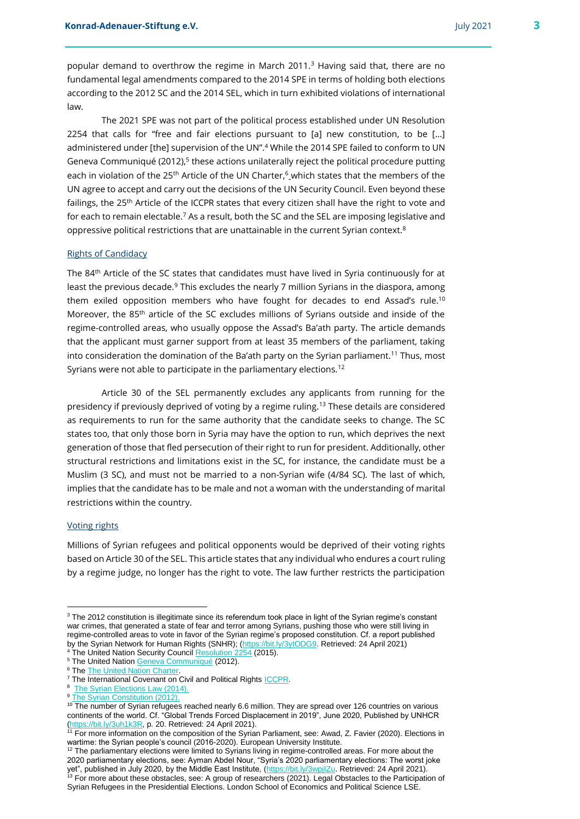popular demand to overthrow the regime in March 2011.<sup>3</sup> Having said that, there are no fundamental legal amendments compared to the 2014 SPE in terms of holding both elections according to the 2012 SC and the 2014 SEL, which in turn exhibited violations of international law.

The 2021 SPE was not part of the political process established under UN Resolution 2254 that calls for "free and fair elections pursuant to [a] new constitution, to be […] administered under [the] supervision of the UN".<sup>4</sup> While the 2014 SPE failed to conform to UN Geneva Communiqué (2012),<sup>5</sup> these actions unilaterally reject the political procedure putting each in violation of the 25<sup>th</sup> Article of the UN Charter,<sup>6</sup> which states that the members of the UN agree to accept and carry out the decisions of the UN Security Council. Even beyond these failings, the 25<sup>th</sup> Article of the ICCPR states that every citizen shall have the right to vote and for each to remain electable.<sup>7</sup> As a result, both the SC and the SEL are imposing legislative and oppressive political restrictions that are unattainable in the current Syrian context.<sup>8</sup>

#### Rights of Candidacy

The 84th Article of the SC states that candidates must have lived in Syria continuously for at least the previous decade.<sup>9</sup> This excludes the nearly 7 million Syrians in the diaspora, among them exiled opposition members who have fought for decades to end Assad's rule.<sup>10</sup> Moreover, the 85th article of the SC excludes millions of Syrians outside and inside of the regime-controlled areas, who usually oppose the Assad's Ba'ath party. The article demands that the applicant must garner support from at least 35 members of the parliament, taking into consideration the domination of the Ba'ath party on the Syrian parliament.<sup>11</sup> Thus, most Syrians were not able to participate in the parliamentary elections.<sup>12</sup>

Article 30 of the SEL permanently excludes any applicants from running for the presidency if previously deprived of voting by a regime ruling.<sup>13</sup> These details are considered as requirements to run for the same authority that the candidate seeks to change. The SC states too, that only those born in Syria may have the option to run, which deprives the next generation of those that fled persecution of their right to run for president. Additionally, other structural restrictions and limitations exist in the SC, for instance, the candidate must be a Muslim (3 SC), and must not be married to a non-Syrian wife (4/84 SC). The last of which, implies that the candidate has to be male and not a woman with the understanding of marital restrictions within the country.

#### Voting rights

Millions of Syrian refugees and political opponents would be deprived of their voting rights based on Article 30 of the SEL. This article states that any individual who endures a court ruling by a regime judge, no longer has the right to vote. The law further restricts the participation

<sup>&</sup>lt;sup>3</sup> The 2012 constitution is illegitimate since its referendum took place in light of the Syrian regime's constant war crimes, that generated a state of fear and terror among Syrians, pushing those who were still living in regime-controlled areas to vote in favor of the Syrian regime's proposed constitution. Cf. a report published by the Syrian Network for Human Rights (SNHR); [\(https://bit.ly/3ytODG9.](https://bit.ly/3ytODG9) Retrieved: 24 April 2021)

<sup>&</sup>lt;sup>4</sup> The United Nation Security Council [Resolution 2254](https://www.securitycouncilreport.org/atf/cf/%7B65BFCF9B-6D27-4E9C-8CD3-CF6E4FF96FF9%7D/s_res_2254.pdf) (2015).

<sup>&</sup>lt;sup>5</sup> The United Nation **Geneva Communiqué** (2012).

<sup>&</sup>lt;sup>6</sup> The The United Nation Charter

<sup>&</sup>lt;sup>7</sup> The International Covenant on Civil and Political Rights [ICCPR.](https://www.ohchr.org/documents/professionalinterest/ccpr.pdf)

<sup>&</sup>lt;sup>8</sup> [The Syrian Elections Law \(2014\).](https://www.ilo.org/dyn/natlex/docs/ELECTRONIC/98926/117885/F519410355/98926.pdf)

<sup>&</sup>lt;sup>9</sup> [The Syrian Constitution \(2012\).](https://www.constituteproject.org/constitution/Syria_2012.pdf?lang=en)

<sup>&</sup>lt;sup>10</sup> The number of Syrian refugees reached nearly 6.6 million. They are spread over 126 countries on various continents of the world. Cf. "Global Trends Forced Displacement in 2019", June 2020, Published by UNHCR [\(https://bit.ly/3uh1k3R,](https://bit.ly/3uh1k3R) p. 20. Retrieved: 24 April 2021).

<sup>11</sup> For more information on the composition of the Syrian Parliament, see: Awad, Z. Favier (2020). Elections in wartime: the Syrian people's council (2016-2020). European University Institute.

 $12$  The parliamentary elections were limited to Syrians living in regime-controlled areas. For more about the 2020 parliamentary elections, see: Ayman Abdel Nour, "Syria's 2020 parliamentary elections: The worst joke yet", published in July 2020, by the Middle East Institute, [\(https://bit.ly/3wpjIZu.](https://bit.ly/3wpjIZu) Retrieved: 24 April 2021). <sup>13</sup> For more about these obstacles, see: A group of researchers (2021). Legal Obstacles to the Participation of Syrian Refugees in the Presidential Elections. London School of Economics and Political Science LSE.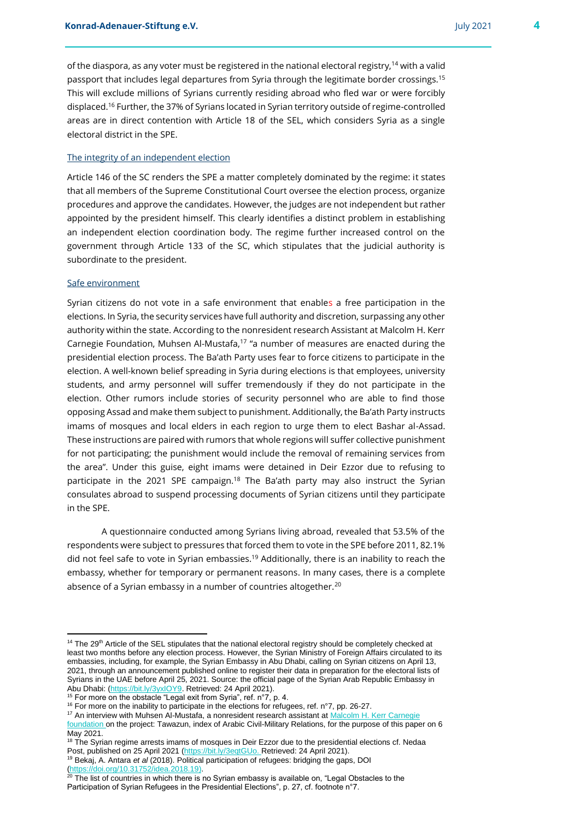electoral district in the SPE.

of the diaspora, as any voter must be registered in the national electoral registry,  $14$  with a valid passport that includes legal departures from Syria through the legitimate border crossings.<sup>15</sup> This will exclude millions of Syrians currently residing abroad who fled war or were forcibly displaced.<sup>16</sup> Further, the 37% of Syrians located in Syrian territory outside of regime-controlled

## The integrity of an independent election

Article 146 of the SC renders the SPE a matter completely dominated by the regime: it states that all members of the Supreme Constitutional Court oversee the election process, organize procedures and approve the candidates. However, the judges are not independent but rather appointed by the president himself. This clearly identifies a distinct problem in establishing an independent election coordination body. The regime further increased control on the government through Article 133 of the SC, which stipulates that the judicial authority is subordinate to the president.

areas are in direct contention with Article 18 of the SEL, which considers Syria as a single

#### Safe environment

 $\overline{a}$ 

Syrian citizens do not vote in a safe environment that enables a free participation in the elections. In Syria, the security services have full authority and discretion, surpassing any other authority within the state. According to the nonresident research Assistant at Malcolm H. Kerr Carnegie Foundation, Muhsen Al-Mustafa,<sup>17</sup> "a number of measures are enacted during the presidential election process. The Ba'ath Party uses fear to force citizens to participate in the election. A well-known belief spreading in Syria during elections is that employees, university students, and army personnel will suffer tremendously if they do not participate in the election. Other rumors include stories of security personnel who are able to find those opposing Assad and make them subject to punishment. Additionally, the Ba'ath Party instructs imams of mosques and local elders in each region to urge them to elect Bashar al-Assad. These instructions are paired with rumors that whole regions will suffer collective punishment for not participating; the punishment would include the removal of remaining services from the area". Under this guise, eight imams were detained in Deir Ezzor due to refusing to participate in the 2021 SPE campaign.<sup>18</sup> The Ba'ath party may also instruct the Syrian consulates abroad to suspend processing documents of Syrian citizens until they participate in the SPE.

A questionnaire conducted among Syrians living abroad, revealed that 53.5% of the respondents were subject to pressures that forced them to vote in the SPE before 2011, 82.1% did not feel safe to vote in Syrian embassies.<sup>19</sup> Additionally, there is an inability to reach the embassy, whether for temporary or permanent reasons. In many cases, there is a complete absence of a Syrian embassy in a number of countries altogether.<sup>20</sup>

<sup>&</sup>lt;sup>14</sup> The 29<sup>th</sup> Article of the SEL stipulates that the national electoral registry should be completely checked at least two months before any election process. However, the Syrian Ministry of Foreign Affairs circulated to its embassies, including, for example, the Syrian Embassy in Abu Dhabi, calling on Syrian citizens on April 13, 2021, through an announcement published online to register their data in preparation for the electoral lists of Syrians in the UAE before April 25, 2021. Source: the official page of the Syrian Arab Republic Embassy in Abu Dhabi: [\(https://bit.ly/3yxIOY9.](https://bit.ly/3yxIOY9) Retrieved: 24 April 2021).

 $15$  For more on the obstacle "Legal exit from Syria", ref. n°7, p. 4.

<sup>&</sup>lt;sup>16</sup> For more on the inability to participate in the elections for refugees, ref. n°7, pp. 26-27.

<sup>&</sup>lt;sup>17</sup> An interview with Muhsen Al-Mustafa, a nonresident research assistant at [Malcolm H. Kerr Carnegie](https://carnegie-mec.org/?lang=en) foundation on the project: Tawazun, index of Arabic Civil-Military Relations, for the purpose of this paper on 6 May 2021.

<sup>&</sup>lt;sup>18</sup> The Syrian regime arrests imams of mosques in Deir Ezzor due to the presidential elections cf. Nedaa Post, published on 25 April 2021 [\(https://bit.ly/3eqtGUo.](https://bit.ly/3eqtGUo) Retrieved: 24 April 2021). <sup>19</sup> Bekaj, A. Antara *et al* (2018). Political participation of refugees: bridging the gaps, DOI [\(https://doi.org/10.31752/idea.2018.19\)](https://doi.org/10.31752/idea.2018.19).

 $20$  The list of countries in which there is no Syrian embassy is available on, "Legal Obstacles to the Participation of Syrian Refugees in the Presidential Elections", p. 27, cf. footnote n°7.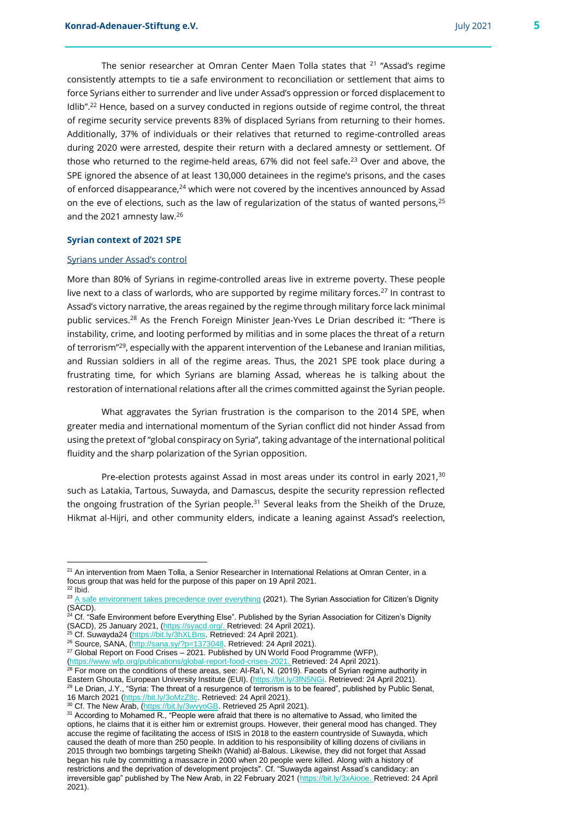The senior researcher at Omran Center Maen Tolla states that <sup>21</sup> "Assad's regime consistently attempts to tie a safe environment to reconciliation or settlement that aims to force Syrians either to surrender and live under Assad's oppression or forced displacement to Idlib".<sup>22</sup> Hence, based on a survey conducted in regions outside of regime control, the threat of regime security service prevents 83% of displaced Syrians from returning to their homes. Additionally, 37% of individuals or their relatives that returned to regime-controlled areas during 2020 were arrested, despite their return with a declared amnesty or settlement. Of those who returned to the regime-held areas, 67% did not feel safe.<sup>23</sup> Over and above, the SPE ignored the absence of at least 130,000 detainees in the regime's prisons, and the cases of enforced disappearance,<sup>24</sup> which were not covered by the incentives announced by Assad on the eve of elections, such as the law of regularization of the status of wanted persons,<sup>25</sup> and the 2021 amnesty law.<sup>26</sup>

#### **Syrian context of 2021 SPE**

#### Syrians under Assad's control

More than 80% of Syrians in regime-controlled areas live in extreme poverty. These people live next to a class of warlords, who are supported by regime military forces.<sup>27</sup> In contrast to Assad's victory narrative, the areas regained by the regime through military force lack minimal public services.<sup>28</sup> As the French Foreign Minister Jean-Yves Le Drian described it: "There is instability, crime, and looting performed by militias and in some places the threat of a return of terrorism"<sup>29</sup>, especially with the apparent intervention of the Lebanese and Iranian militias, and Russian soldiers in all of the regime areas. Thus, the 2021 SPE took place during a frustrating time, for which Syrians are blaming Assad, whereas he is talking about the restoration of international relations after all the crimes committed against the Syrian people.

What aggravates the Syrian frustration is the comparison to the 2014 SPE, when greater media and international momentum of the Syrian conflict did not hinder Assad from using the pretext of "global conspiracy on Syria", taking advantage of the international political fluidity and the sharp polarization of the Syrian opposition.

Pre-election protests against Assad in most areas under its control in early 2021,<sup>30</sup> such as Latakia, Tartous, Suwayda, and Damascus, despite the security repression reflected the ongoing frustration of the Syrian people.<sup>31</sup> Several leaks from the Sheikh of the Druze, Hikmat al-Hijri, and other community elders, indicate a leaning against Assad's reelection,

<sup>&</sup>lt;sup>21</sup> An intervention from Maen Tolla, a Senior Researcher in International Relations at Omran Center, in a focus group that was held for the purpose of this paper on 19 April 2021.

 $22$  Ibid.

<sup>&</sup>lt;sup>23</sup> [A safe environment takes precedence over everything](https://syacd.org/elections-survey-results/) (2021). The Syrian Association for Citizen's Dignity (SACD).

<sup>&</sup>lt;sup>24</sup> Cf. "Safe Environment before Everything Else". Published by the Syrian Association for Citizen's Dignity (SACD), 25 January 2021, [\(https://syacd.org/.](https://syacd.org/) Retrieved: 24 April 2021).

<sup>&</sup>lt;sup>25</sup> Cf. Suwayda24 [\(https://bit.ly/3hXLBns.](https://bit.ly/3hXLBns) Retrieved: 24 April 2021).

<sup>&</sup>lt;sup>26</sup> Source, SANA, [\(http://sana.sy/?p=1373048.](http://sana.sy/?p=1373048) Retrieved: 24 April 2021).

<sup>&</sup>lt;sup>27</sup> Global Report on Food Crises  $-$  2021. Published by UN World Food Programme (WFP),

[<sup>\(</sup>https://www.wfp.org/publications/global-report-food-crises-2021.](https://www.wfp.org/publications/global-report-food-crises-2021) Retrieved: 24 April 2021).  $^{28}$  For more on the conditions of these areas, see: Al-Ra'i, N. (2019). Facets of Syrian regime authority in Eastern Ghouta, European University Institute (EUI). [\(https://bit.ly/3fN5NGi.](https://bit.ly/3fN5NGi) Retrieved: 24 April 2021). <sup>29</sup> Le Drian, J.Y., "Syria: The threat of a resurgence of terrorism is to be feared", published by Public Senat, 16 March 2021 [\(https://bit.ly/3oMzZ8c.](https://bit.ly/3oMzZ8c) Retrieved: 24 April 2021).

<sup>&</sup>lt;sup>30</sup> Cf. The New Arab, [\(https://bit.ly/3wvyoGB.](https://bit.ly/3wvyoGB) Retrieved 25 April 2021).

<sup>&</sup>lt;sup>31</sup> According to Mohamed R., "People were afraid that there is no alternative to Assad, who limited the options, he claims that it is either him or extremist groups. However, their general mood has changed. They accuse the regime of facilitating the access of ISIS in 2018 to the eastern countryside of Suwayda, which caused the death of more than 250 people. In addition to his responsibility of killing dozens of civilians in 2015 through two bombings targeting Sheikh (Wahid) al-Balous. Likewise, they did not forget that Assad began his rule by committing a massacre in 2000 when 20 people were killed. Along with a history of restrictions and the deprivation of development projects". Cf. "Suwayda against Assad's candidacy: an irreversible gap" published by The New Arab, in 22 February 2021 [\(https://bit.ly/3xAiooe.](https://bit.ly/3xAiooe) Retrieved: 24 April 2021).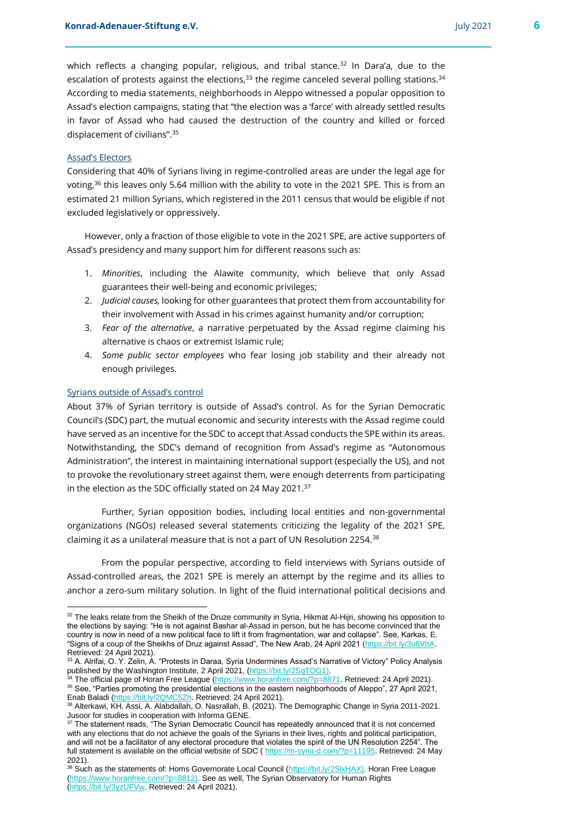which reflects a changing popular, religious, and tribal stance.<sup>32</sup> In Dara'a, due to the escalation of protests against the elections,  $33$  the regime canceled several polling stations.  $34$ According to media statements, neighborhoods in Aleppo witnessed a popular opposition to Assad's election campaigns, stating that "the election was a 'farce' with already settled results in favor of Assad who had caused the destruction of the country and killed or forced displacement of civilians".<sup>35</sup>

#### Assad's Electors

Considering that 40% of Syrians living in regime-controlled areas are under the legal age for voting,<sup>36</sup> this leaves only 5.64 million with the ability to vote in the 2021 SPE. This is from an estimated 21 million Syrians, which registered in the 2011 census that would be eligible if not excluded legislatively or oppressively.

However, only a fraction of those eligible to vote in the 2021 SPE, are active supporters of Assad's presidency and many support him for different reasons such as:

- 1. *Minorities*, including the Alawite community, which believe that only Assad guarantees their well-being and economic privileges;
- 2. *Judicial causes,* looking for other guarantees that protect them from accountability for their involvement with Assad in his crimes against humanity and/or corruption;
- 3. *Fear of the alternative*, a narrative perpetuated by the Assad regime claiming his alternative is chaos or extremist Islamic rule;
- 4. *Some public sector employees* who fear losing job stability and their already not enough privileges.

#### Syrians outside of Assad's control

About 37% of Syrian territory is outside of Assad's control. As for the Syrian Democratic Council's (SDC) part, the mutual economic and security interests with the Assad regime could have served as an incentive for the SDC to accept that Assad conducts the SPE within its areas. Notwithstanding, the SDC's demand of recognition from Assad's regime as "Autonomous Administration", the interest in maintaining international support (especially the US), and not to provoke the revolutionary street against them, were enough deterrents from participating in the election as the SDC officially stated on 24 May 2021.<sup>37</sup>

Further, Syrian opposition bodies, including local entities and non-governmental organizations (NGOs) released several statements criticizing the legality of the 2021 SPE, claiming it as a unilateral measure that is not a part of UN Resolution 2254.<sup>38</sup>

From the popular perspective, according to field interviews with Syrians outside of Assad-controlled areas, the 2021 SPE is merely an attempt by the regime and its allies to anchor a zero-sum military solution. In light of the fluid international political decisions and

<sup>32</sup> The leaks relate from the Sheikh of the Druze community in Syria, Hikmat Al-Hijri, showing his opposition to the elections by saying: "He is not against Bashar al-Assad in person, but he has become convinced that the country is now in need of a new political face to lift it from fragmentation, war and collapse". See, Karkas, E. "Signs of a coup of the Sheikhs of Druz against Assad", The New Arab, 24 April 2021 [\(https://bit.ly/3u6VItA.](https://bit.ly/3u6VItA) Retrieved: 24 April 2021).

<sup>33</sup> A. Alrifai, O. Y. Zelin, A. "Protests in Daraa, Syria Undermines Assad's Narrative of Victory" Policy Analysis published by the Washington Institute, 2 April 2021, [\(https://bit.ly/2SqTOG1\)](https://bit.ly/2SqTOG1)

<sup>34</sup> The official page of Horan Free League [\(https://www.horanfree.com/?p=8871.](https://www.horanfree.com/?p=8871) Retrieved: 24 April 2021). <sup>35</sup> See, "Parties promoting the presidential elections in the eastern neighborhoods of Aleppo", 27 April 2021, Enab Baladi [\(https://bit.ly/2QMC5Zh.](https://bit.ly/2QMC5Zh) Retrieved: 24 April 2021).

<sup>36</sup> Alterkawi, KH. Assi, A. Alabdallah, O. Nasrallah, B. (2021). The Demographic Change in Syria 2011-2021. Jusoor for studies in cooperation with Informa GENE.

<sup>&</sup>lt;sup>37</sup> The statement reads, "The Syrian Democratic Council has repeatedly announced that it is not concerned with any elections that do not achieve the goals of the Syrians in their lives, rights and political participation, and will not be a facilitator of any electoral procedure that violates the spirit of the UN Resolution 2254". The full statement is available on the official website of SDC ( [https://m-syria-d.com/?p=11195.](https://m-syria-d.com/?p=11195) Retrieved: 24 May 2021).

<sup>&</sup>lt;sup>38</sup> Such as the statements of: Homs Governorate Local Council [\(https://bit.ly/2SlxHAX\)](https://bit.ly/2SlxHAX). Horan Free League [\(https://www.horanfree.com/?p=8812\).](https://www.horanfree.com/?p=8812) See as well, The Syrian Observatory for Human Rights [\(https://bit.ly/3yzUFVw.](https://bit.ly/3yzUFVw) Retrieved: 24 April 2021).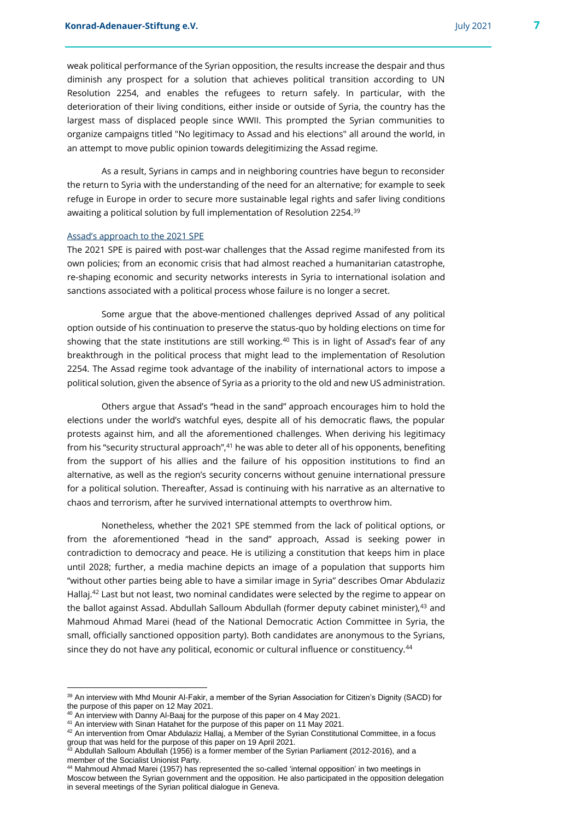weak political performance of the Syrian opposition, the results increase the despair and thus diminish any prospect for a solution that achieves political transition according to UN Resolution 2254, and enables the refugees to return safely. In particular, with the deterioration of their living conditions, either inside or outside of Syria, the country has the largest mass of displaced people since WWII. This prompted the Syrian communities to organize campaigns titled "No legitimacy to Assad and his elections" all around the world, in an attempt to move public opinion towards delegitimizing the Assad regime.

As a result, Syrians in camps and in neighboring countries have begun to reconsider the return to Syria with the understanding of the need for an alternative; for example to seek refuge in Europe in order to secure more sustainable legal rights and safer living conditions awaiting a political solution by full implementation of Resolution 2254.<sup>39</sup>

#### Assad's approach to the 2021 SPE

The 2021 SPE is paired with post-war challenges that the Assad regime manifested from its own policies; from an economic crisis that had almost reached a humanitarian catastrophe, re-shaping economic and security networks interests in Syria to international isolation and sanctions associated with a political process whose failure is no longer a secret.

Some argue that the above-mentioned challenges deprived Assad of any political option outside of his continuation to preserve the status-quo by holding elections on time for showing that the state institutions are still working.<sup>40</sup> This is in light of Assad's fear of any breakthrough in the political process that might lead to the implementation of Resolution 2254. The Assad regime took advantage of the inability of international actors to impose a political solution, given the absence of Syria as a priority to the old and new US administration.

Others argue that Assad's "head in the sand" approach encourages him to hold the elections under the world's watchful eyes, despite all of his democratic flaws, the popular protests against him, and all the aforementioned challenges. When deriving his legitimacy from his "security structural approach",<sup>41</sup> he was able to deter all of his opponents, benefiting from the support of his allies and the failure of his opposition institutions to find an alternative, as well as the region's security concerns without genuine international pressure for a political solution. Thereafter, Assad is continuing with his narrative as an alternative to chaos and terrorism, after he survived international attempts to overthrow him.

Nonetheless, whether the 2021 SPE stemmed from the lack of political options, or from the aforementioned "head in the sand" approach, Assad is seeking power in contradiction to democracy and peace. He is utilizing a constitution that keeps him in place until 2028; further, a media machine depicts an image of a population that supports him "without other parties being able to have a similar image in Syria" describes Omar Abdulaziz Hallaj.<sup>42</sup> Last but not least, two nominal candidates were selected by the regime to appear on the ballot against Assad. Abdullah Salloum Abdullah (former deputy cabinet minister),<sup>43</sup> and Mahmoud Ahmad Marei (head of the National Democratic Action Committee in Syria, the small, officially sanctioned opposition party). Both candidates are anonymous to the Syrians, since they do not have any political, economic or cultural influence or constituency.<sup>44</sup>

l

<sup>39</sup> An interview with Mhd Mounir Al-Fakir, a member of the Syrian Association for Citizen's Dignity (SACD) for the purpose of this paper on 12 May 2021.

An interview with Danny Al-Baaj for the purpose of this paper on 4 May 2021.

<sup>41</sup> An interview with Sinan Hatahet for the purpose of this paper on 11 May 2021.

<sup>42</sup> An intervention from Omar Abdulaziz Hallaj, a Member of the Syrian Constitutional Committee, in a focus group that was held for the purpose of this paper on 19 April 2021.

 $^{43}$  Abdullah Salloum Abdullah (1956) is a former member of the Syrian Parliament (2012-2016), and a member of the Socialist Unionist Party.

<sup>44</sup> Mahmoud Ahmad Marei (1957) has represented the so-called 'internal opposition' in two meetings in Moscow between the Syrian government and the opposition. He also participated in the opposition delegation in several meetings of the Syrian political dialogue in Geneva.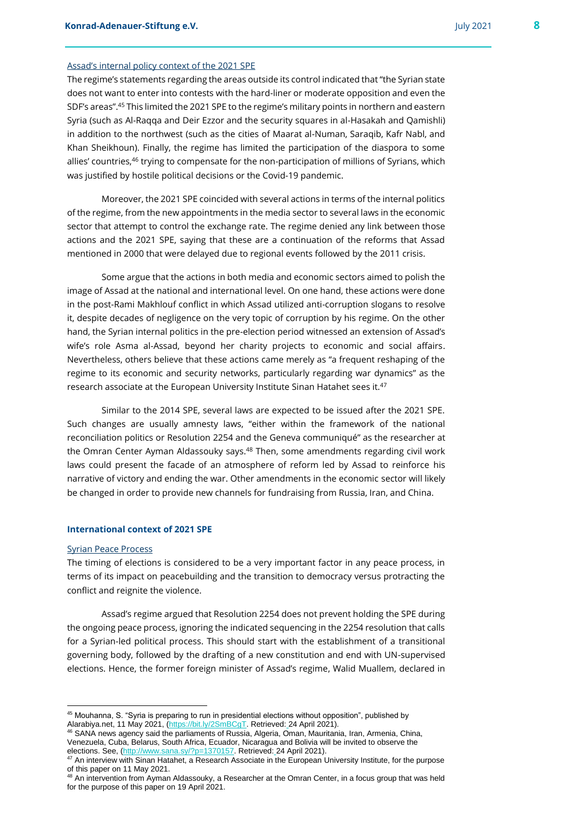#### Assad's internal policy context of the 2021 SPE

The regime's statements regarding the areas outside its control indicated that "the Syrian state does not want to enter into contests with the hard-liner or moderate opposition and even the SDF's areas".<sup>45</sup> This limited the 2021 SPE to the regime's military points in northern and eastern Syria (such as Al-Raqqa and Deir Ezzor and the security squares in al-Hasakah and Qamishli) in addition to the northwest (such as the cities of Maarat al-Numan, Saraqib, Kafr Nabl, and Khan Sheikhoun). Finally, the regime has limited the participation of the diaspora to some allies' countries,<sup>46</sup> trying to compensate for the non-participation of millions of Syrians, which was justified by hostile political decisions or the Covid-19 pandemic.

Moreover, the 2021 SPE coincided with several actions in terms of the internal politics of the regime, from the new appointments in the media sector to several laws in the economic sector that attempt to control the exchange rate. The regime denied any link between those actions and the 2021 SPE, saying that these are a continuation of the reforms that Assad mentioned in 2000 that were delayed due to regional events followed by the 2011 crisis.

Some argue that the actions in both media and economic sectors aimed to polish the image of Assad at the national and international level. On one hand, these actions were done in the post-Rami Makhlouf conflict in which Assad utilized anti-corruption slogans to resolve it, despite decades of negligence on the very topic of corruption by his regime. On the other hand, the Syrian internal politics in the pre-election period witnessed an extension of Assad's wife's role Asma al-Assad, beyond her charity projects to economic and social affairs. Nevertheless, others believe that these actions came merely as "a frequent reshaping of the regime to its economic and security networks, particularly regarding war dynamics" as the research associate at the European University Institute Sinan Hatahet sees it.<sup>47</sup>

Similar to the 2014 SPE, several laws are expected to be issued after the 2021 SPE. Such changes are usually amnesty laws, "either within the framework of the national reconciliation politics or Resolution 2254 and the Geneva communiqué" as the researcher at the Omran Center Ayman Aldassouky says.<sup>48</sup> Then, some amendments regarding civil work laws could present the facade of an atmosphere of reform led by Assad to reinforce his narrative of victory and ending the war. Other amendments in the economic sector will likely be changed in order to provide new channels for fundraising from Russia, Iran, and China.

#### **International context of 2021 SPE**

#### Syrian Peace Process

The timing of elections is considered to be a very important factor in any peace process, in terms of its impact on peacebuilding and the transition to democracy versus protracting the conflict and reignite the violence.

Assad's regime argued that Resolution 2254 does not prevent holding the SPE during the ongoing peace process, ignoring the indicated sequencing in the 2254 resolution that calls for a Syrian-led political process. This should start with the establishment of a transitional governing body, followed by the drafting of a new constitution and end with UN-supervised elections. Hence, the former foreign minister of Assad's regime, Walid Muallem, declared in

<sup>45</sup> Mouhanna, S. "Syria is preparing to run in presidential elections without opposition", published by Alarabiya.net, 11 May 2021, [\(https://bit.ly/2SmBCgT.](https://bit.ly/2SmBCgT) Retrieved: 24 April 2021).

<sup>46</sup> SANA news agency said the parliaments of Russia, Algeria, Oman, Mauritania, Iran, Armenia, China, Venezuela, Cuba, Belarus, South Africa, Ecuador, Nicaragua and Bolivia will be invited to observe the elections. See, [\(http://www.sana.sy/?p=1370157.](http://www.sana.sy/?p=1370157) Retrieved: 24 April 2021).

<sup>47</sup> An interview with Sinan Hatahet, a Research Associate in the European University Institute, for the purpose of this paper on 11 May 2021.

<sup>&</sup>lt;sup>48</sup> An intervention from Ayman Aldassouky, a Researcher at the Omran Center, in a focus group that was held for the purpose of this paper on 19 April 2021.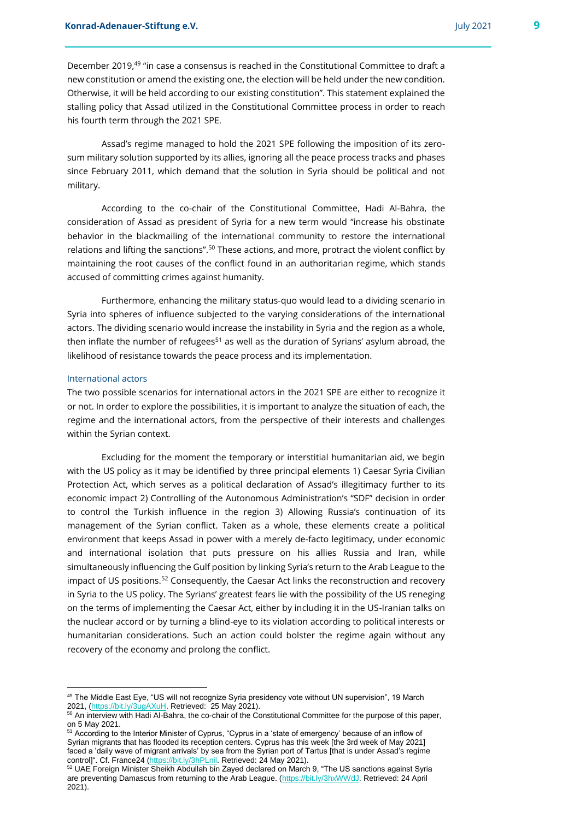December 2019,<sup>49</sup> "in case a consensus is reached in the Constitutional Committee to draft a new constitution or amend the existing one, the election will be held under the new condition. Otherwise, it will be held according to our existing constitution". This statement explained the stalling policy that Assad utilized in the Constitutional Committee process in order to reach his fourth term through the 2021 SPE.

Assad's regime managed to hold the 2021 SPE following the imposition of its zerosum military solution supported by its allies, ignoring all the peace process tracks and phases since February 2011, which demand that the solution in Syria should be political and not military.

According to the co-chair of the Constitutional Committee, Hadi Al-Bahra, the consideration of Assad as president of Syria for a new term would "increase his obstinate behavior in the blackmailing of the international community to restore the international relations and lifting the sanctions".<sup>50</sup> These actions, and more, protract the violent conflict by maintaining the root causes of the conflict found in an authoritarian regime, which stands accused of committing crimes against humanity.

Furthermore, enhancing the military status-quo would lead to a dividing scenario in Syria into spheres of influence subjected to the varying considerations of the international actors. The dividing scenario would increase the instability in Syria and the region as a whole, then inflate the number of refugees<sup>51</sup> as well as the duration of Syrians' asylum abroad, the likelihood of resistance towards the peace process and its implementation.

#### International actors

l

The two possible scenarios for international actors in the 2021 SPE are either to recognize it or not. In order to explore the possibilities, it is important to analyze the situation of each, the regime and the international actors, from the perspective of their interests and challenges within the Syrian context.

Excluding for the moment the temporary or interstitial humanitarian aid, we begin with the US policy as it may be identified by three principal elements 1) Caesar Syria Civilian Protection Act, which serves as a political declaration of Assad's illegitimacy further to its economic impact 2) Controlling of the Autonomous Administration's "SDF" decision in order to control the Turkish influence in the region 3) Allowing Russia's continuation of its management of the Syrian conflict. Taken as a whole, these elements create a political environment that keeps Assad in power with a merely de-facto legitimacy, under economic and international isolation that puts pressure on his allies Russia and Iran, while simultaneously influencing the Gulf position by linking Syria's return to the Arab League to the impact of US positions.<sup>52</sup> Consequently, the Caesar Act links the reconstruction and recovery in Syria to the US policy. The Syrians' greatest fears lie with the possibility of the US reneging on the terms of implementing the Caesar Act, either by including it in the US-Iranian talks on the nuclear accord or by turning a blind-eye to its violation according to political interests or humanitarian considerations. Such an action could bolster the regime again without any recovery of the economy and prolong the conflict.

<sup>49</sup> The Middle East Eye, "US will not recognize Syria presidency vote without UN supervision", 19 March 2021, [\(https://bit.ly/3ugAXuH.](https://bit.ly/3ugAXuH) Retrieved: 25 May 2021).

<sup>&</sup>lt;sup>50</sup> An interview with Hadi Al-Bahra, the co-chair of the Constitutional Committee for the purpose of this paper, on 5 May 2021.

<sup>&</sup>lt;sup>51</sup> According to the Interior Minister of Cyprus, "Cyprus in a 'state of emergency' because of an inflow of Syrian migrants that has flooded its reception centers. Cyprus has this week [the 3rd week of May 2021] faced a 'daily wave of migrant arrivals' by sea from the Syrian port of Tartus [that is under Assad's regime control]". Cf. France24 [\(https://bit.ly/3hPLnil.](https://bit.ly/3hPLnil) Retrieved: 24 May 2021).

 $52$  UAE Foreign Minister Sheikh Abdullah bin Zayed declared on March 9, "The US sanctions against Syria are preventing Damascus from returning to the Arab League. [\(https://bit.ly/3hxWWdJ.](https://bit.ly/3hxWWdJ) Retrieved: 24 April 2021).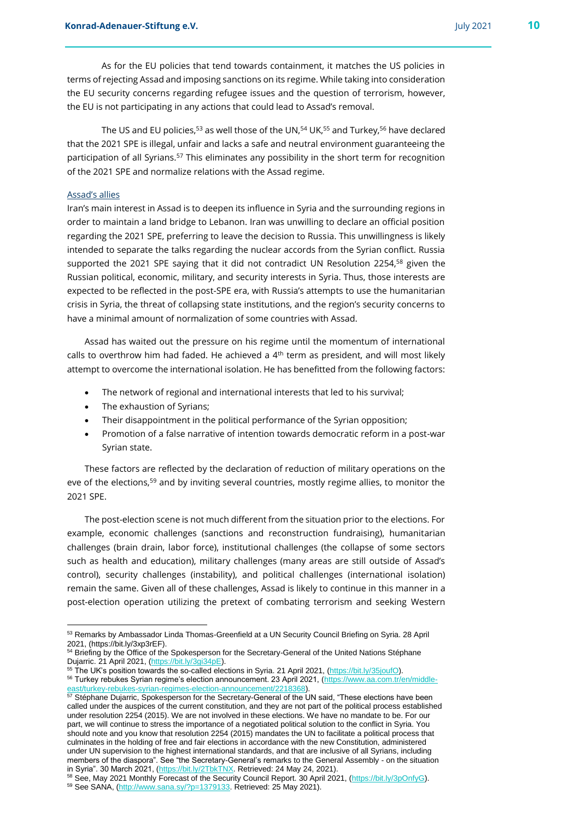As for the EU policies that tend towards containment, it matches the US policies in terms of rejecting Assad and imposing sanctions on its regime. While taking into consideration the EU security concerns regarding refugee issues and the question of terrorism, however, the EU is not participating in any actions that could lead to Assad's removal.

The US and EU policies,<sup>53</sup> as well those of the UN,<sup>54</sup> UK,<sup>55</sup> and Turkey,<sup>56</sup> have declared that the 2021 SPE is illegal, unfair and lacks a safe and neutral environment guaranteeing the participation of all Syrians.<sup>57</sup> This eliminates any possibility in the short term for recognition of the 2021 SPE and normalize relations with the Assad regime.

#### Assad's allies

Iran's main interest in Assad is to deepen its influence in Syria and the surrounding regions in order to maintain a land bridge to Lebanon. Iran was unwilling to declare an official position regarding the 2021 SPE, preferring to leave the decision to Russia. This unwillingness is likely intended to separate the talks regarding the nuclear accords from the Syrian conflict. Russia supported the 2021 SPE saying that it did not contradict UN Resolution 2254,<sup>58</sup> given the Russian political, economic, military, and security interests in Syria. Thus, those interests are expected to be reflected in the post-SPE era, with Russia's attempts to use the humanitarian crisis in Syria, the threat of collapsing state institutions, and the region's security concerns to have a minimal amount of normalization of some countries with Assad.

Assad has waited out the pressure on his regime until the momentum of international calls to overthrow him had faded. He achieved a  $4<sup>th</sup>$  term as president, and will most likely attempt to overcome the international isolation. He has benefitted from the following factors:

- The network of regional and international interests that led to his survival;
- The exhaustion of Syrians;
- Their disappointment in the political performance of the Syrian opposition;
- Promotion of a false narrative of intention towards democratic reform in a post-war Syrian state.

These factors are reflected by the declaration of reduction of military operations on the eve of the elections,<sup>59</sup> and by inviting several countries, mostly regime allies, to monitor the 2021 SPE.

The post-election scene is not much different from the situation prior to the elections. For example, economic challenges (sanctions and reconstruction fundraising), humanitarian challenges (brain drain, labor force), institutional challenges (the collapse of some sectors such as health and education), military challenges (many areas are still outside of Assad's control), security challenges (instability), and political challenges (international isolation) remain the same. Given all of these challenges, Assad is likely to continue in this manner in a post-election operation utilizing the pretext of combating terrorism and seeking Western

<sup>53</sup> Remarks by Ambassador Linda Thomas-Greenfield at a UN Security Council Briefing on Syria. 28 April 2021, (https://bit.ly/3xp3rEF).

<sup>&</sup>lt;sup>54</sup> Briefing by the Office of the Spokesperson for the Secretary-General of the United Nations Stéphane Dujarric. 21 April 2021, [\(https://bit.ly/3gi34pE\)](https://bit.ly/3gi34pE).

<sup>55</sup> The UK's position towards the so-called elections in Syria. 21 April 2021, [\(https://bit.ly/35joufO\).](https://bit.ly/35joufO) 56 Turkey rebukes Syrian regime's election announcement. 23 April 2021, [\(https://www.aa.com.tr/en/middle](https://www.aa.com.tr/en/middle-east/turkey-rebukes-syrian-regimes-election-announcement/2218368)st/turkey-rebukes-syrian-regimes-election-announcement/2218368

<sup>57</sup> Stéphane Dujarric, Spokesperson for the Secretary-General of the UN said, "These elections have been called under the auspices of the current constitution, and they are not part of the political process established under resolution 2254 (2015). We are not involved in these elections. We have no mandate to be. For our part, we will continue to stress the importance of a negotiated political solution to the conflict in Syria. You should note and you know that resolution 2254 (2015) mandates the UN to facilitate a political process that culminates in the holding of free and fair elections in accordance with the new Constitution, administered under UN supervision to the highest international standards, and that are inclusive of all Syrians, including members of the diaspora". See "the Secretary-General's remarks to the General Assembly - on the situation in Syria". 30 March 2021, [\(https://bit.ly/2TbkTNX.](https://bit.ly/2TbkTNX) Retrieved: 24 May 24, 2021).

<sup>58</sup> See, May 2021 Monthly Forecast of the Security Council Report. 30 April 2021, [\(https://bit.ly/3pOnfyG\)](https://bit.ly/3pOnfyG). 59 See SANA, [\(http://www.sana.sy/?p=1379133.](http://www.sana.sy/?p=1379133) Retrieved: 25 May 2021).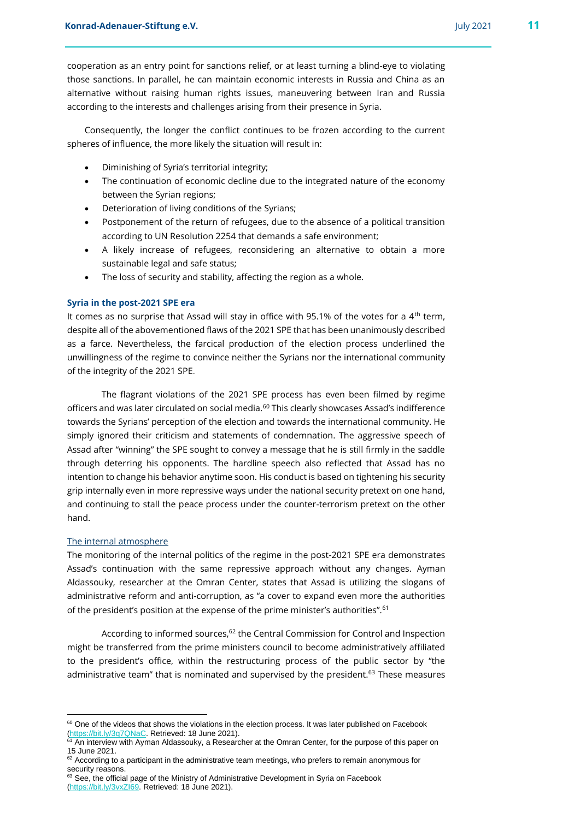cooperation as an entry point for sanctions relief, or at least turning a blind-eye to violating those sanctions. In parallel, he can maintain economic interests in Russia and China as an alternative without raising human rights issues, maneuvering between Iran and Russia according to the interests and challenges arising from their presence in Syria.

Consequently, the longer the conflict continues to be frozen according to the current spheres of influence, the more likely the situation will result in:

- Diminishing of Syria's territorial integrity;
- The continuation of economic decline due to the integrated nature of the economy between the Syrian regions;
- Deterioration of living conditions of the Syrians;
- Postponement of the return of refugees, due to the absence of a political transition according to UN Resolution 2254 that demands a safe environment;
- A likely increase of refugees, reconsidering an alternative to obtain a more sustainable legal and safe status;
- The loss of security and stability, affecting the region as a whole.

#### **Syria in the post-2021 SPE era**

It comes as no surprise that Assad will stay in office with 95.1% of the votes for a  $4<sup>th</sup>$  term, despite all of the abovementioned flaws of the 2021 SPE that has been unanimously described as a farce. Nevertheless, the farcical production of the election process underlined the unwillingness of the regime to convince neither the Syrians nor the international community of the integrity of the 2021 SPE.

The flagrant violations of the 2021 SPE process has even been filmed by regime officers and was later circulated on social media.<sup>60</sup> This clearly showcases Assad's indifference towards the Syrians' perception of the election and towards the international community. He simply ignored their criticism and statements of condemnation. The aggressive speech of Assad after "winning" the SPE sought to convey a message that he is still firmly in the saddle through deterring his opponents. The hardline speech also reflected that Assad has no intention to change his behavior anytime soon. His conduct is based on tightening his security grip internally even in more repressive ways under the national security pretext on one hand, and continuing to stall the peace process under the counter-terrorism pretext on the other hand.

#### The internal atmosphere

The monitoring of the internal politics of the regime in the post-2021 SPE era demonstrates Assad's continuation with the same repressive approach without any changes. Ayman Aldassouky, researcher at the Omran Center, states that Assad is utilizing the slogans of administrative reform and anti-corruption, as "a cover to expand even more the authorities of the president's position at the expense of the prime minister's authorities".<sup>61</sup>

According to informed sources,<sup>62</sup> the Central Commission for Control and Inspection might be transferred from the prime ministers council to become administratively affiliated to the president's office, within the restructuring process of the public sector by "the administrative team" that is nominated and supervised by the president.<sup>63</sup> These measures

<sup>&</sup>lt;sup>60</sup> One of the videos that shows the violations in the election process. It was later published on Facebook [\(https://bit.ly/3q7QNaC.](https://bit.ly/3q7QNaC) Retrieved: 18 June 2021).

 $61$  An interview with Ayman Aldassouky, a Researcher at the Omran Center, for the purpose of this paper on 15 June 2021.

<sup>&</sup>lt;sup>62</sup> According to a participant in the administrative team meetings, who prefers to remain anonymous for security reasons.

<sup>&</sup>lt;sup>63</sup> See, the official page of the Ministry of Administrative Development in Syria on Facebook [\(https://bit.ly/3vxZI69.](https://bit.ly/3vxZI69) Retrieved: 18 June 2021).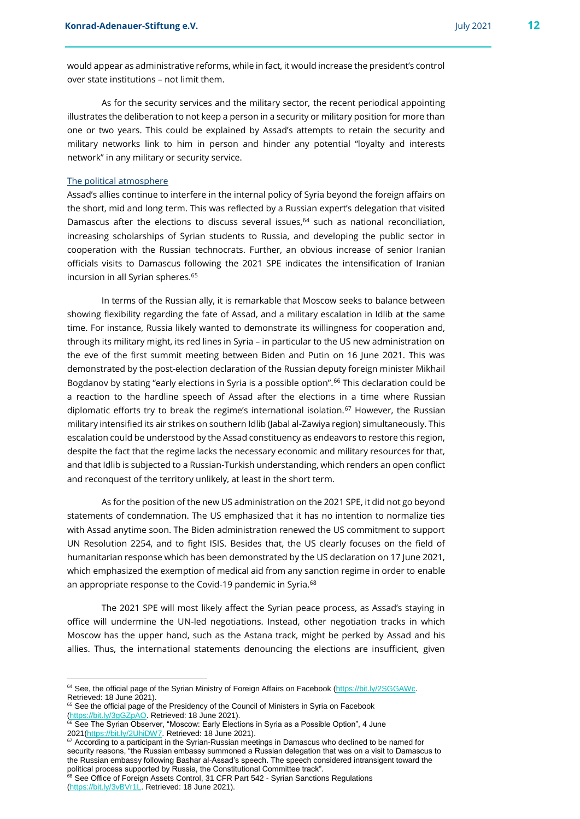would appear as administrative reforms, while in fact, it would increase the president's control over state institutions – not limit them.

As for the security services and the military sector, the recent periodical appointing illustrates the deliberation to not keep a person in a security or military position for more than one or two years. This could be explained by Assad's attempts to retain the security and military networks link to him in person and hinder any potential "loyalty and interests network" in any military or security service.

#### The political atmosphere

Assad's allies continue to interfere in the internal policy of Syria beyond the foreign affairs on the short, mid and long term. This was reflected by a Russian expert's delegation that visited Damascus after the elections to discuss several issues,<sup>64</sup> such as national reconciliation, increasing scholarships of Syrian students to Russia, and developing the public sector in cooperation with the Russian technocrats. Further, an obvious increase of senior Iranian officials visits to Damascus following the 2021 SPE indicates the intensification of Iranian incursion in all Syrian spheres.<sup>65</sup>

In terms of the Russian ally, it is remarkable that Moscow seeks to balance between showing flexibility regarding the fate of Assad, and a military escalation in Idlib at the same time. For instance, Russia likely wanted to demonstrate its willingness for cooperation and, through its military might, its red lines in Syria – in particular to the US new administration on the eve of the first summit meeting between Biden and Putin on 16 June 2021. This was demonstrated by the post-election declaration of the Russian deputy foreign minister Mikhail Bogdanov by stating "early elections in Syria is a possible option".<sup>66</sup> This declaration could be a reaction to the hardline speech of Assad after the elections in a time where Russian diplomatic efforts try to break the regime's international isolation.<sup>67</sup> However, the Russian military intensified its air strikes on southern Idlib (Jabal al-Zawiya region) simultaneously. This escalation could be understood by the Assad constituency as endeavors to restore this region, despite the fact that the regime lacks the necessary economic and military resources for that, and that Idlib is subjected to a Russian-Turkish understanding, which renders an open conflict and reconquest of the territory unlikely, at least in the short term.

As for the position of the new US administration on the 2021 SPE, it did not go beyond statements of condemnation. The US emphasized that it has no intention to normalize ties with Assad anytime soon. The Biden administration renewed the US commitment to support UN Resolution 2254, and to fight ISIS. Besides that, the US clearly focuses on the field of humanitarian response which has been demonstrated by the US declaration on 17 June 2021, which emphasized the exemption of medical aid from any sanction regime in order to enable an appropriate response to the Covid-19 pandemic in Syria.<sup>68</sup>

The 2021 SPE will most likely affect the Syrian peace process, as Assad's staying in office will undermine the UN-led negotiations. Instead, other negotiation tracks in which Moscow has the upper hand, such as the Astana track, might be perked by Assad and his allies. Thus, the international statements denouncing the elections are insufficient, given

<sup>64</sup> See, the official page of the Syrian Ministry of Foreign Affairs on Facebook [\(https://bit.ly/2SGGAWc.](https://bit.ly/2SGGAWc)  Retrieved: 18 June 2021).

<sup>&</sup>lt;sup>65</sup> See the official page of the Presidency of the Council of Ministers in Syria on Facebook [\(https://bit.ly/3gGZpAO.](https://bit.ly/3gGZpAO) Retrieved: 18 June 2021).

 $^{66}$  See The Syrian Observer, "Moscow: Early Elections in Syria as a Possible Option", 4 June 2021[\(https://bit.ly/2UhiDW7.](https://bit.ly/2UhiDW7) Retrieved: 18 June 2021).

 $\frac{67}{67}$  According to a participant in the Syrian-Russian meetings in Damascus who declined to be named for security reasons, "the Russian embassy summoned a Russian delegation that was on a visit to Damascus to the Russian embassy following Bashar al-Assad's speech. The speech considered intransigent toward the political process supported by Russia, the Constitutional Committee track".

<sup>&</sup>lt;sup>68</sup> See Office of Foreign Assets Control, 31 CFR Part 542 - Syrian Sanctions Regulations [\(https://bit.ly/3vBVr1L.](https://bit.ly/3vBVr1L) Retrieved: 18 June 2021).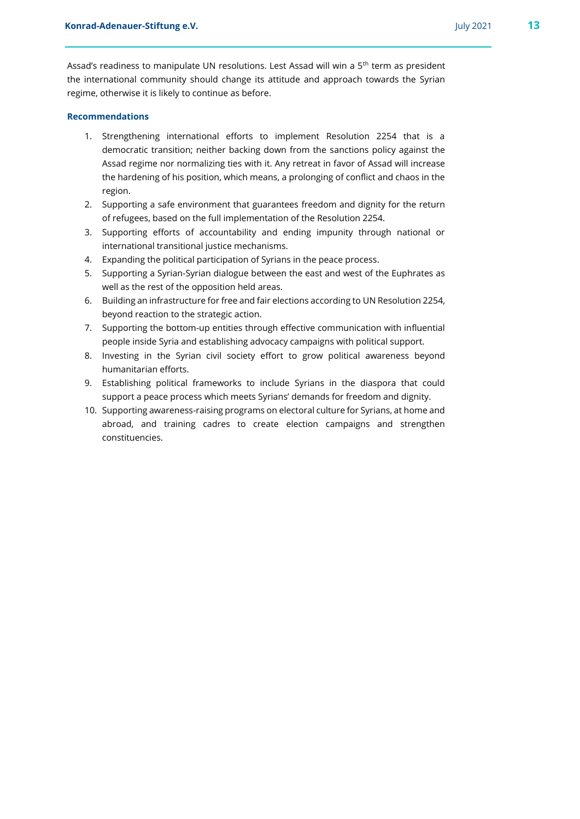Assad's readiness to manipulate UN resolutions. Lest Assad will win a 5th term as president the international community should change its attitude and approach towards the Syrian regime, otherwise it is likely to continue as before.

#### **Recommendations**

- 1. Strengthening international efforts to implement Resolution 2254 that is a democratic transition; neither backing down from the sanctions policy against the Assad regime nor normalizing ties with it. Any retreat in favor of Assad will increase the hardening of his position, which means, a prolonging of conflict and chaos in the region.
- 2. Supporting a safe environment that guarantees freedom and dignity for the return of refugees, based on the full implementation of the Resolution 2254.
- 3. Supporting efforts of accountability and ending impunity through national or international transitional justice mechanisms.
- 4. Expanding the political participation of Syrians in the peace process.
- 5. Supporting a Syrian-Syrian dialogue between the east and west of the Euphrates as well as the rest of the opposition held areas.
- 6. Building an infrastructure for free and fair elections according to UN Resolution 2254, beyond reaction to the strategic action.
- 7. Supporting the bottom-up entities through effective communication with influential people inside Syria and establishing advocacy campaigns with political support.
- 8. Investing in the Syrian civil society effort to grow political awareness beyond humanitarian efforts.
- 9. Establishing political frameworks to include Syrians in the diaspora that could support a peace process which meets Syrians' demands for freedom and dignity.
- 10. Supporting awareness-raising programs on electoral culture for Syrians, at home and abroad, and training cadres to create election campaigns and strengthen constituencies.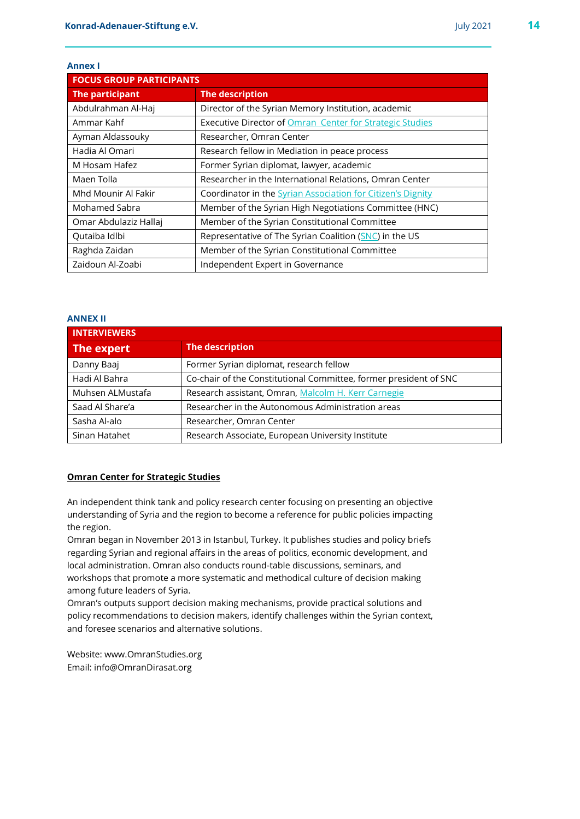#### **Annex I**

| <b>FOCUS GROUP PARTICIPANTS</b> |                                                                    |
|---------------------------------|--------------------------------------------------------------------|
| The participant                 | <b>The description</b>                                             |
| Abdulrahman Al-Haj              | Director of the Syrian Memory Institution, academic                |
| Ammar Kahf                      | Executive Director of Omran Center for Strategic Studies           |
| Ayman Aldassouky                | Researcher, Omran Center                                           |
| Hadia Al Omari                  | Research fellow in Mediation in peace process                      |
| M Hosam Hafez                   | Former Syrian diplomat, lawyer, academic                           |
| Maen Tolla                      | Researcher in the International Relations, Omran Center            |
| Mhd Mounir Al Fakir             | Coordinator in the <b>Syrian Association for Citizen's Dignity</b> |
| Mohamed Sabra                   | Member of the Syrian High Negotiations Committee (HNC)             |
| Omar Abdulaziz Hallaj           | Member of the Syrian Constitutional Committee                      |
| Qutaiba Idlbi                   | Representative of The Syrian Coalition (SNC) in the US             |
| Raghda Zaidan                   | Member of the Syrian Constitutional Committee                      |
| Zaidoun Al-Zoabi                | Independent Expert in Governance                                   |

#### **ANNEX II**

| <b>INTERVIEWERS</b> |                                                                   |
|---------------------|-------------------------------------------------------------------|
| The expert          | The description                                                   |
| Danny Baaj          | Former Syrian diplomat, research fellow                           |
| Hadi Al Bahra       | Co-chair of the Constitutional Committee, former president of SNC |
| Muhsen ALMustafa    | Research assistant, Omran, Malcolm H. Kerr Carnegie               |
| Saad Al Share'a     | Researcher in the Autonomous Administration areas                 |
| Sasha Al-alo        | Researcher, Omran Center                                          |
| Sinan Hatahet       | Research Associate, European University Institute                 |

#### **Omran Center for Strategic Studies**

An independent think tank and policy research center focusing on presenting an objective understanding of Syria and the region to become a reference for public policies impacting the region.

Omran began in November 2013 in Istanbul, Turkey. It publishes studies and policy briefs regarding Syrian and regional affairs in the areas of politics, economic development, and local administration. Omran also conducts round-table discussions, seminars, and workshops that promote a more systematic and methodical culture of decision making among future leaders of Syria.

Omran's outputs support decision making mechanisms, provide practical solutions and policy recommendations to decision makers, identify challenges within the Syrian context, and foresee scenarios and alternative solutions.

Website: www.OmranStudies.org Email: info@OmranDirasat.org